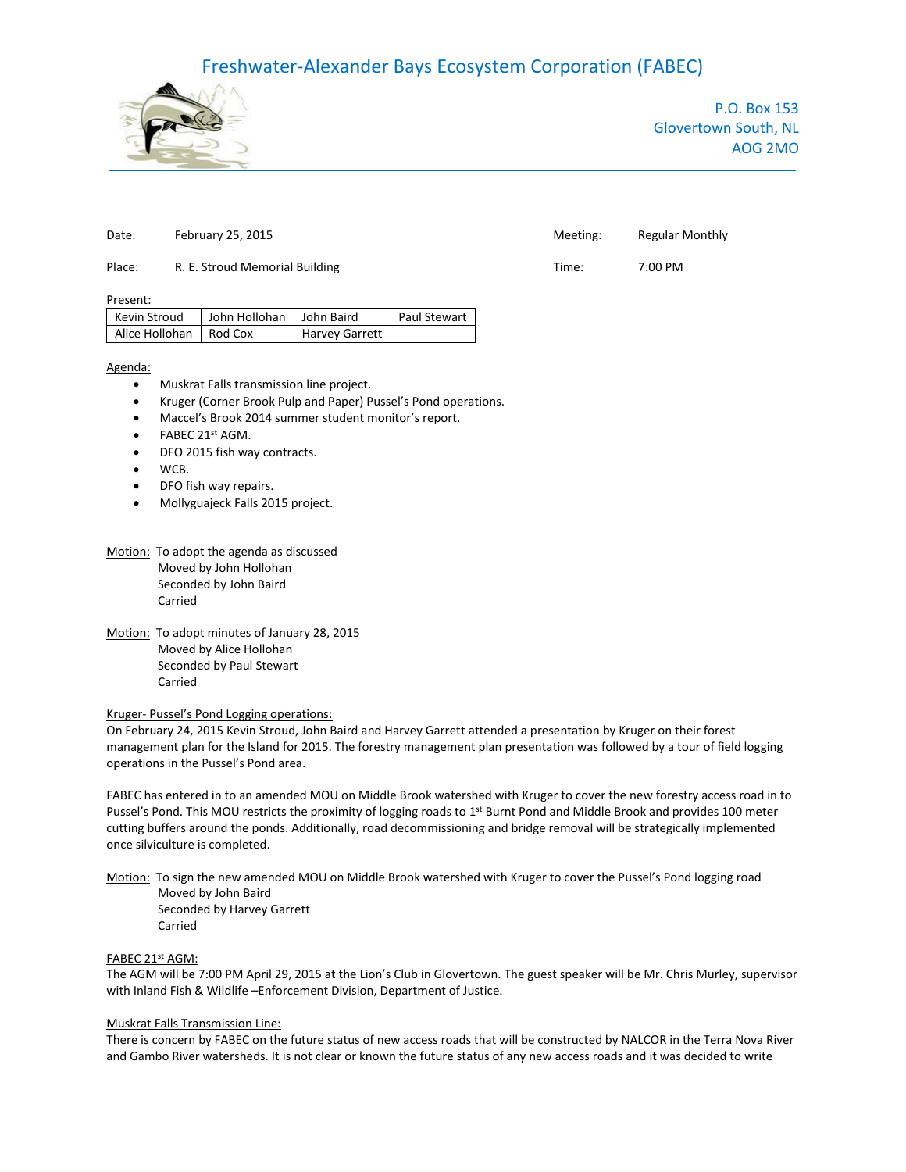# Freshwater-Alexander Bays Ecosystem Corporation (FABEC)



P.O. Box 153 Glovertown South, NL AOG 2MO

### Place: R. E. Stroud Memorial Building The Contract Contract Contract Contract Contract Contract Contract Contract Contract Contract Contract Contract Contract Contract Contract Contract Contract Contract Contract Contract

Present:

| Kevin Stroud             | John Hollohan John Baird |                | <b>Paul Stewart</b> |
|--------------------------|--------------------------|----------------|---------------------|
| Alice Hollohan   Rod Cox |                          | Harvey Garrett |                     |

#### Agenda:

- Muskrat Falls transmission line project.
- Kruger (Corner Brook Pulp and Paper) Pussel's Pond operations.
- Maccel's Brook 2014 summer student monitor's report.
- $\bullet$  FABEC 21st AGM.
- DFO 2015 fish way contracts.
- WCB.
- DFO fish way repairs.
- Mollyguajeck Falls 2015 project.
- Motion: To adopt the agenda as discussed Moved by John Hollohan Seconded by John Baird Carried
- Motion: To adopt minutes of January 28, 2015 Moved by Alice Hollohan Seconded by Paul Stewart Carried

# Kruger- Pussel's Pond Logging operations:

On February 24, 2015 Kevin Stroud, John Baird and Harvey Garrett attended a presentation by Kruger on their forest management plan for the Island for 2015. The forestry management plan presentation was followed by a tour of field logging operations in the Pussel's Pond area.

FABEC has entered in to an amended MOU on Middle Brook watershed with Kruger to cover the new forestry access road in to Pussel's Pond. This MOU restricts the proximity of logging roads to 1<sup>st</sup> Burnt Pond and Middle Brook and provides 100 meter cutting buffers around the ponds. Additionally, road decommissioning and bridge removal will be strategically implemented once silviculture is completed.

Motion: To sign the new amended MOU on Middle Brook watershed with Kruger to cover the Pussel's Pond logging road Moved by John Baird Seconded by Harvey Garrett Carried

# FABEC 21st AGM:

The AGM will be 7:00 PM April 29, 2015 at the Lion's Club in Glovertown. The guest speaker will be Mr. Chris Murley, supervisor with Inland Fish & Wildlife –Enforcement Division, Department of Justice.

### Muskrat Falls Transmission Line:

There is concern by FABEC on the future status of new access roads that will be constructed by NALCOR in the Terra Nova River and Gambo River watersheds. It is not clear or known the future status of any new access roads and it was decided to write

# Date: February 25, 2015 The Contract Contract Contract Meeting: Regular Monthly